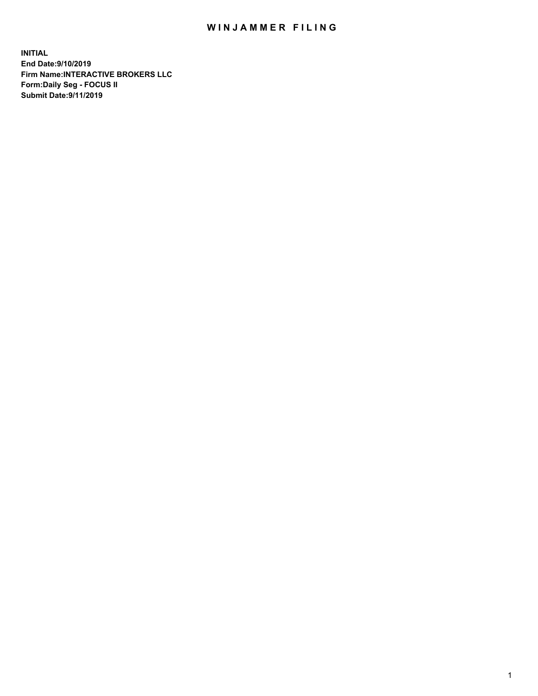## WIN JAMMER FILING

**INITIAL End Date:9/10/2019 Firm Name:INTERACTIVE BROKERS LLC Form:Daily Seg - FOCUS II Submit Date:9/11/2019**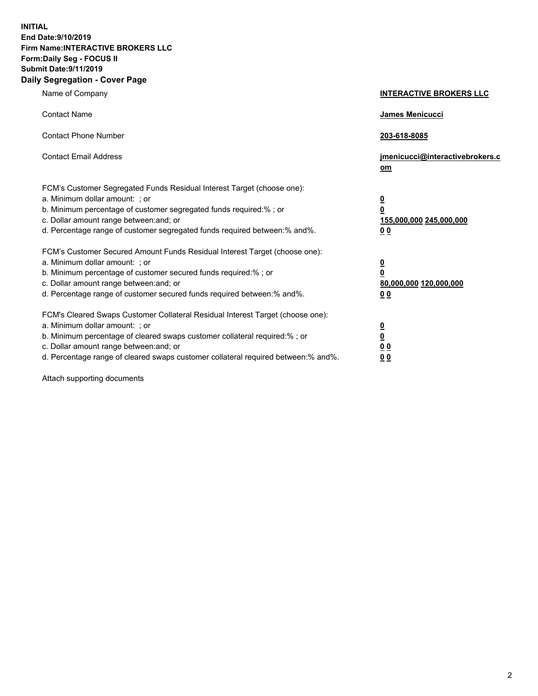**INITIAL End Date:9/10/2019 Firm Name:INTERACTIVE BROKERS LLC Form:Daily Seg - FOCUS II Submit Date:9/11/2019 Daily Segregation - Cover Page**

| Name of Company                                                                                                                                                                                                                                                                                                                | <b>INTERACTIVE BROKERS LLC</b>                                                                  |
|--------------------------------------------------------------------------------------------------------------------------------------------------------------------------------------------------------------------------------------------------------------------------------------------------------------------------------|-------------------------------------------------------------------------------------------------|
| <b>Contact Name</b>                                                                                                                                                                                                                                                                                                            | James Menicucci                                                                                 |
| <b>Contact Phone Number</b>                                                                                                                                                                                                                                                                                                    | 203-618-8085                                                                                    |
| <b>Contact Email Address</b>                                                                                                                                                                                                                                                                                                   | jmenicucci@interactivebrokers.c<br>om                                                           |
| FCM's Customer Segregated Funds Residual Interest Target (choose one):<br>a. Minimum dollar amount: ; or<br>b. Minimum percentage of customer segregated funds required:% ; or<br>c. Dollar amount range between: and; or<br>d. Percentage range of customer segregated funds required between:% and%.                         | $\overline{\mathbf{0}}$<br>$\overline{\mathbf{0}}$<br>155,000,000 245,000,000<br>0 <sub>0</sub> |
| FCM's Customer Secured Amount Funds Residual Interest Target (choose one):<br>a. Minimum dollar amount: ; or<br>b. Minimum percentage of customer secured funds required:%; or<br>c. Dollar amount range between: and; or<br>d. Percentage range of customer secured funds required between:% and%.                            | $\overline{\mathbf{0}}$<br>$\overline{\mathbf{0}}$<br>80,000,000 120,000,000<br>00              |
| FCM's Cleared Swaps Customer Collateral Residual Interest Target (choose one):<br>a. Minimum dollar amount: ; or<br>b. Minimum percentage of cleared swaps customer collateral required:% ; or<br>c. Dollar amount range between: and; or<br>d. Percentage range of cleared swaps customer collateral required between:% and%. | $\overline{\mathbf{0}}$<br>$\underline{\mathbf{0}}$<br>0 <sub>0</sub><br>0 <sub>0</sub>         |

Attach supporting documents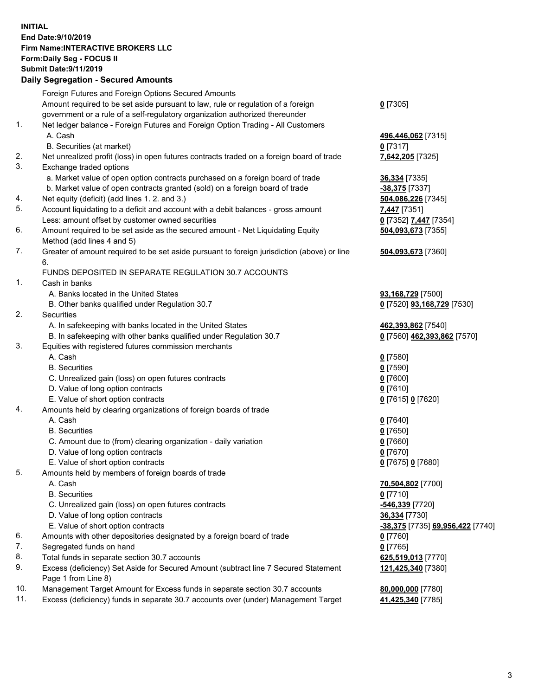## **INITIAL End Date:9/10/2019 Firm Name:INTERACTIVE BROKERS LLC Form:Daily Seg - FOCUS II Submit Date:9/11/2019 Daily Segregation - Secured Amounts**

|                | Daily Ocglegation - Occuled Aniounts                                                              |                                  |
|----------------|---------------------------------------------------------------------------------------------------|----------------------------------|
|                | Foreign Futures and Foreign Options Secured Amounts                                               |                                  |
|                | Amount required to be set aside pursuant to law, rule or regulation of a foreign                  | $0$ [7305]                       |
|                | government or a rule of a self-regulatory organization authorized thereunder                      |                                  |
| $\mathbf{1}$ . | Net ledger balance - Foreign Futures and Foreign Option Trading - All Customers                   |                                  |
|                | A. Cash                                                                                           | 496,446,062 [7315]               |
|                | B. Securities (at market)                                                                         | $0$ [7317]                       |
| 2.             | Net unrealized profit (loss) in open futures contracts traded on a foreign board of trade         | 7,642,205 [7325]                 |
| 3.             | Exchange traded options                                                                           |                                  |
|                | a. Market value of open option contracts purchased on a foreign board of trade                    | <b>36,334</b> [7335]             |
|                | b. Market value of open contracts granted (sold) on a foreign board of trade                      | -38,375 [7337]                   |
| 4.             | Net equity (deficit) (add lines 1. 2. and 3.)                                                     | 504,086,226 [7345]               |
| 5.             | Account liquidating to a deficit and account with a debit balances - gross amount                 | 7,447 [7351]                     |
|                | Less: amount offset by customer owned securities                                                  | 0 [7352] 7,447 [7354]            |
| 6.             | Amount required to be set aside as the secured amount - Net Liquidating Equity                    | 504,093,673 [7355]               |
|                | Method (add lines 4 and 5)                                                                        |                                  |
| 7.             | Greater of amount required to be set aside pursuant to foreign jurisdiction (above) or line<br>6. | 504,093,673 [7360]               |
|                | FUNDS DEPOSITED IN SEPARATE REGULATION 30.7 ACCOUNTS                                              |                                  |
| 1.             | Cash in banks                                                                                     |                                  |
|                | A. Banks located in the United States                                                             | 93,168,729 [7500]                |
|                | B. Other banks qualified under Regulation 30.7                                                    | 0 [7520] 93,168,729 [7530]       |
| 2.             | Securities                                                                                        |                                  |
|                | A. In safekeeping with banks located in the United States                                         | 462,393,862 [7540]               |
|                | B. In safekeeping with other banks qualified under Regulation 30.7                                | 0 [7560] 462,393,862 [7570]      |
| 3.             | Equities with registered futures commission merchants                                             |                                  |
|                | A. Cash                                                                                           | $0$ [7580]                       |
|                | <b>B.</b> Securities                                                                              | $0$ [7590]                       |
|                | C. Unrealized gain (loss) on open futures contracts                                               | $0$ [7600]                       |
|                | D. Value of long option contracts                                                                 | $0$ [7610]                       |
|                | E. Value of short option contracts                                                                | 0 [7615] 0 [7620]                |
| 4.             | Amounts held by clearing organizations of foreign boards of trade                                 |                                  |
|                | A. Cash                                                                                           | $0$ [7640]                       |
|                | <b>B.</b> Securities                                                                              | $0$ [7650]                       |
|                | C. Amount due to (from) clearing organization - daily variation                                   | $0$ [7660]                       |
|                | D. Value of long option contracts                                                                 | $0$ [7670]                       |
|                | E. Value of short option contracts                                                                | 0 [7675] 0 [7680]                |
| 5.             | Amounts held by members of foreign boards of trade                                                |                                  |
|                | A. Cash                                                                                           | 70,504,802 [7700]                |
|                | <b>B.</b> Securities                                                                              | $0$ [7710]                       |
|                | C. Unrealized gain (loss) on open futures contracts                                               | <u>-546,339</u> [7720]           |
|                | D. Value of long option contracts                                                                 | <b>36,334</b> [7730]             |
|                | E. Value of short option contracts                                                                | -38,375 [7735] 69,956,422 [7740] |
| 6.             | Amounts with other depositories designated by a foreign board of trade                            | 0 [7760]                         |
| 7.             | Segregated funds on hand                                                                          | $0$ [7765]                       |
| 8.             | Total funds in separate section 30.7 accounts                                                     | 625,519,013 [7770]               |
| 9.             | Excess (deficiency) Set Aside for Secured Amount (subtract line 7 Secured Statement               | 121,425,340 [7380]               |
|                | Page 1 from Line 8)                                                                               |                                  |
| 10.            | Management Target Amount for Excess funds in separate section 30.7 accounts                       | 80,000,000 [7780]                |
| 11.            | Excess (deficiency) funds in separate 30.7 accounts over (under) Management Target                | 41,425,340 [7785]                |
|                |                                                                                                   |                                  |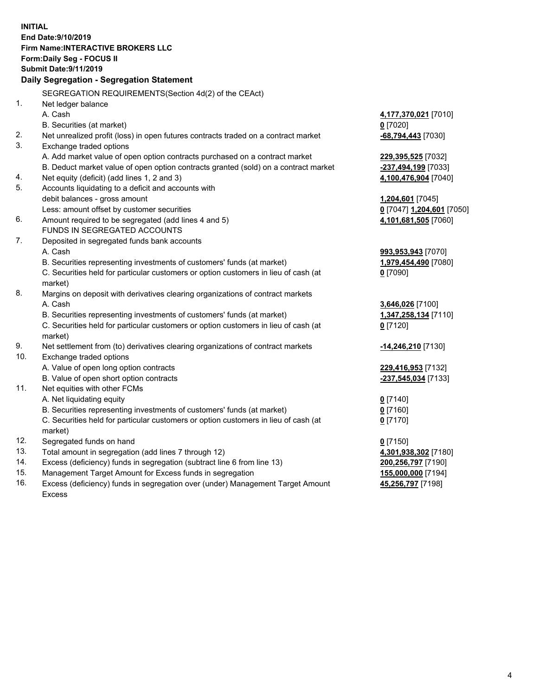**INITIAL End Date:9/10/2019 Firm Name:INTERACTIVE BROKERS LLC Form:Daily Seg - FOCUS II Submit Date:9/11/2019 Daily Segregation - Segregation Statement** SEGREGATION REQUIREMENTS(Section 4d(2) of the CEAct) 1. Net ledger balance A. Cash **4,177,370,021** [7010] B. Securities (at market) **0** [7020] 2. Net unrealized profit (loss) in open futures contracts traded on a contract market **-68,794,443** [7030] 3. Exchange traded options A. Add market value of open option contracts purchased on a contract market **229,395,525** [7032] B. Deduct market value of open option contracts granted (sold) on a contract market **-237,494,199** [7033] 4. Net equity (deficit) (add lines 1, 2 and 3) **4,100,476,904** [7040] 5. Accounts liquidating to a deficit and accounts with debit balances - gross amount **1,204,601** [7045] Less: amount offset by customer securities **0** [7047] **1,204,601** [7050] 6. Amount required to be segregated (add lines 4 and 5) **4,101,681,505** [7060] FUNDS IN SEGREGATED ACCOUNTS 7. Deposited in segregated funds bank accounts A. Cash **993,953,943** [7070] B. Securities representing investments of customers' funds (at market) **1,979,454,490** [7080] C. Securities held for particular customers or option customers in lieu of cash (at market) **0** [7090] 8. Margins on deposit with derivatives clearing organizations of contract markets A. Cash **3,646,026** [7100] B. Securities representing investments of customers' funds (at market) **1,347,258,134** [7110] C. Securities held for particular customers or option customers in lieu of cash (at market) **0** [7120] 9. Net settlement from (to) derivatives clearing organizations of contract markets **-14,246,210** [7130] 10. Exchange traded options A. Value of open long option contracts **229,416,953** [7132] B. Value of open short option contracts **-237,545,034** [7133] 11. Net equities with other FCMs A. Net liquidating equity **0** [7140] B. Securities representing investments of customers' funds (at market) **0** [7160] C. Securities held for particular customers or option customers in lieu of cash (at market) **0** [7170] 12. Segregated funds on hand **0** [7150] 13. Total amount in segregation (add lines 7 through 12) **4,301,938,302** [7180] 14. Excess (deficiency) funds in segregation (subtract line 6 from line 13) **200,256,797** [7190] 15. Management Target Amount for Excess funds in segregation **155,000,000** [7194]

16. Excess (deficiency) funds in segregation over (under) Management Target Amount Excess

**45,256,797** [7198]